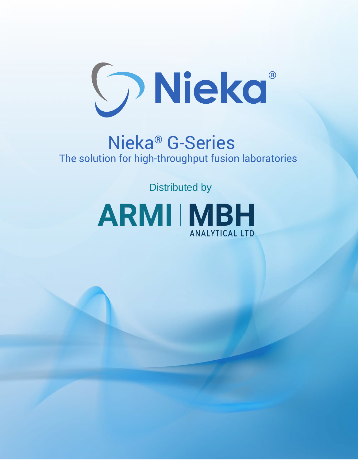

## Nieka® G-Series The solution for high-throughput fusion laboratories

Distributed by

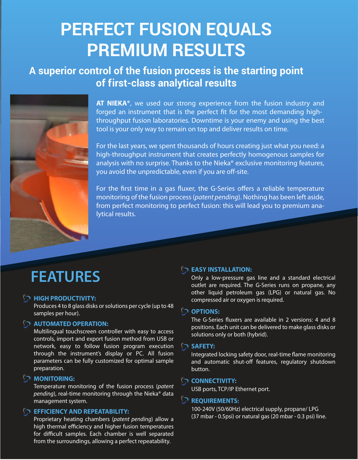## **PERFECT FUSION EQUALS PREMIUM RESULTS**

### **A superior control of the fusion process is the starting point of f irst-class analytical results**



**AT NIEKA®**, we used our strong experience from the fusion industry and forged an instrument that is the perfect fit for the most demanding highthroughput fusion laboratories. Downtime is your enemy and using the best tool is your only way to remain on top and deliver results on time.

For the last years, we spent thousands of hours creating just what you need: a high-throughput instrument that creates perfectly homogenous samples for analysis with no surprise. Thanks to the Nieka® exclusive monitoring features, you avoid the unpredictable, even if you are off-site.

For the first time in a gas fluxer, the G-Series offers a reliable temperature monitoring of the fusion process (*patent pending*). Nothing has been left aside, from perfect monitoring to perfect fusion: this will lead you to premium analytical results.

## **FEATURES**

#### **HIGH PRODUCTIVITY:**

Produces 4 to 8 glass disks or solutions per cycle (up to 48 samples per hour).

#### **AUTOMATED OPERATION:**

Multilingual touchscreen controller with easy to access controls, import and export fusion method from USB or network, easy to follow fusion program execution through the instrument's display or PC. All fusion parameters can be fully customized for optimal sample preparation.

#### **MONITORING:**

Temperature monitoring of the fusion process (*patent pending*), real-time monitoring through the Nieka® data management system.

#### **EFFICIENCY AND REPEATABILITY:**

Proprietary heating chambers (*patent pending*) allow a high thermal efficiency and higher fusion temperatures for difficult samples. Each chamber is well separated from the surroundings, allowing a perfect repeatability.

#### **EASY INSTALLATION:**

Only a low-pressure gas line and a standard electrical outlet are required. The G-Series runs on propane, any other liquid petroleum gas (LPG) or natural gas. No compressed air or oxygen is required.

#### **OPTIONS:**

The G-Series fluxers are available in 2 versions: 4 and 8 positions. Each unit can be delivered to make glass disks or solutions only or both (hybrid).

#### **SAFETY:**

Integrated locking safety door, real-time flame monitoring and automatic shut-off features, regulatory shutdown button.

#### **CONNECTIVITY:**

USB ports, TCP/IP Ethernet port.

#### **REQUIREMENTS:**

100-240V (50/60Hz) electrical supply, propane/ LPG (37 mbar - 0.5psi) or natural gas (20 mbar - 0.3 psi) line.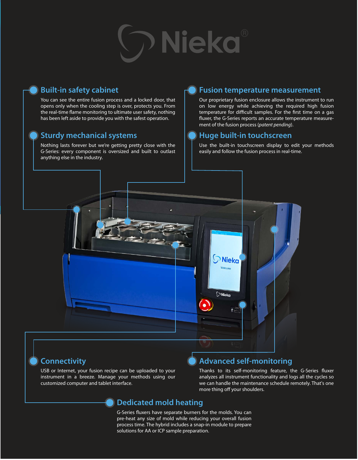## **O** Nieka

#### **Built-in safety cabinet**

You can see the entire fusion process and a locked door, that opens only when the cooling step is over, protects you. From the real-time flame monitoring to ultimate user safety, nothing has been left aside to provide you with the safest operation.

#### **Sturdy mechanical systems**

Nothing lasts forever but we're getting pretty close with the G-Series: every component is oversized and built to outlast anything else in the industry.

#### **Fusion temperature measurement**

Our proprietary fusion enclosure allows the instrument to run on low energy while achieving the required high fusion temperature for difficult samples. For the first time on a gas fluxer, the G-Series reports an accurate temperature measurement of the fusion process (*patent pending*).

#### **Huge built-in touchscreen**

Use the built-in touchscreen display to edit your methods easily and follow the fusion process in real-time.



#### **Connectivity**

USB or Internet, your fusion recipe can be uploaded to your instrument in a breeze. Manage your methods using our customized computer and tablet interface.

#### **Advanced self-monitoring**

Thanks to its self-monitoring feature, the G-Series fluxer analyzes all instrument functionality and logs all the cycles so we can handle the maintenance schedule remotely. That's one more thing off your shoulders.

#### **Dedicated mold heating**

G-Series fluxers have separate burners for the molds. You can pre-heat any size of mold while reducing your overall fusion process time. The hybrid includes a snap-in module to prepare solutions for AA or ICP sample preparation.